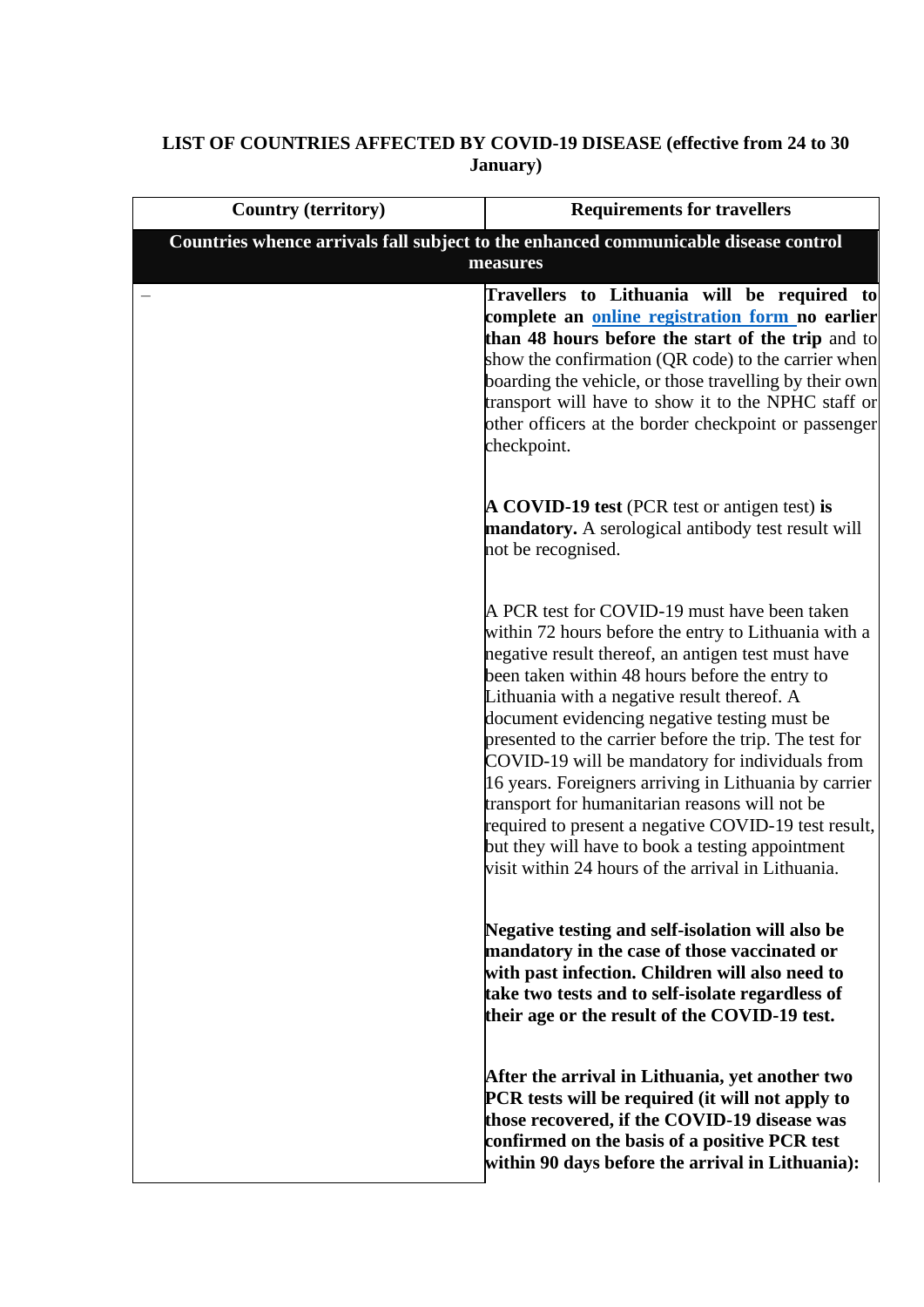## **LIST OF COUNTRIES AFFECTED BY COVID-19 DISEASE (effective from 24 to 30 January)**

| <b>Country (territory)</b>                                                                      | <b>Requirements for travellers</b>                                                                                                                                                                                                                                                                                                                                                                                                                                                                                                                                                                                                                                                                    |
|-------------------------------------------------------------------------------------------------|-------------------------------------------------------------------------------------------------------------------------------------------------------------------------------------------------------------------------------------------------------------------------------------------------------------------------------------------------------------------------------------------------------------------------------------------------------------------------------------------------------------------------------------------------------------------------------------------------------------------------------------------------------------------------------------------------------|
| Countries whence arrivals fall subject to the enhanced communicable disease control<br>measures |                                                                                                                                                                                                                                                                                                                                                                                                                                                                                                                                                                                                                                                                                                       |
|                                                                                                 | Travellers to Lithuania will be required to<br>complete an online registration form no earlier<br>than 48 hours before the start of the trip and to<br>show the confirmation (QR code) to the carrier when<br>boarding the vehicle, or those travelling by their own<br>transport will have to show it to the NPHC staff or<br>other officers at the border checkpoint or passenger<br>checkpoint.                                                                                                                                                                                                                                                                                                    |
|                                                                                                 | A COVID-19 test (PCR test or antigen test) is<br>mandatory. A serological antibody test result will<br>not be recognised.                                                                                                                                                                                                                                                                                                                                                                                                                                                                                                                                                                             |
|                                                                                                 | A PCR test for COVID-19 must have been taken<br>within 72 hours before the entry to Lithuania with a<br>negative result thereof, an antigen test must have<br>been taken within 48 hours before the entry to<br>Lithuania with a negative result thereof. A<br>document evidencing negative testing must be<br>presented to the carrier before the trip. The test for<br>COVID-19 will be mandatory for individuals from<br>16 years. Foreigners arriving in Lithuania by carrier<br>transport for humanitarian reasons will not be<br>required to present a negative COVID-19 test result,<br>but they will have to book a testing appointment<br>visit within 24 hours of the arrival in Lithuania. |
|                                                                                                 | Negative testing and self-isolation will also be<br>mandatory in the case of those vaccinated or<br>with past infection. Children will also need to<br>take two tests and to self-isolate regardless of<br>their age or the result of the COVID-19 test.                                                                                                                                                                                                                                                                                                                                                                                                                                              |
|                                                                                                 | After the arrival in Lithuania, yet another two<br>PCR tests will be required (it will not apply to<br>those recovered, if the COVID-19 disease was<br>confirmed on the basis of a positive PCR test<br>within 90 days before the arrival in Lithuania):                                                                                                                                                                                                                                                                                                                                                                                                                                              |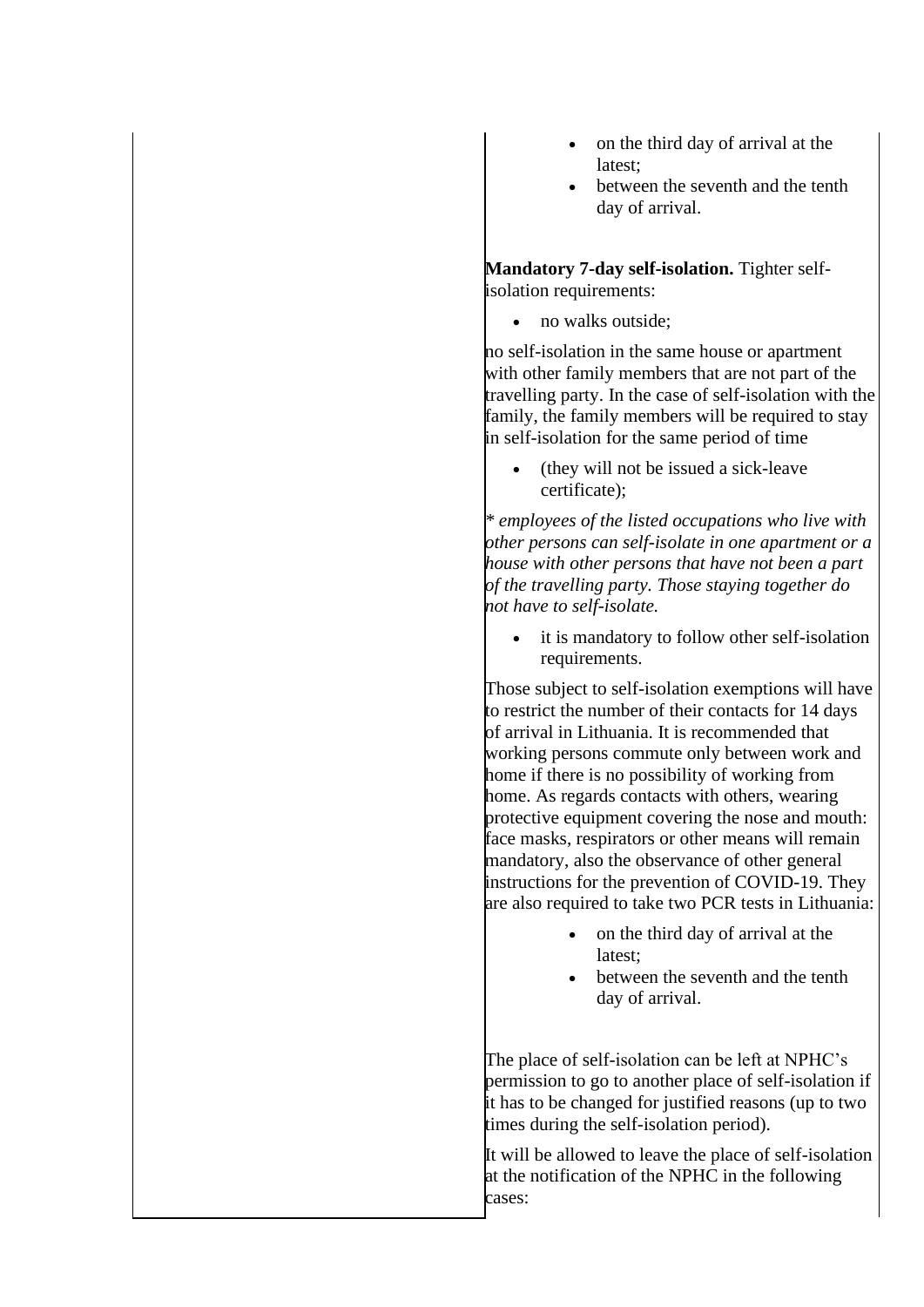- on the third day of arrival at the latest;
- between the seventh and the tenth day of arrival.

**Mandatory 7-day self-isolation.** Tighter selfisolation requirements:

• no walks outside;

no self-isolation in the same house or apartment with other family members that are not part of the travelling party. In the case of self-isolation with the family, the family members will be required to stay in self-isolation for the same period of time

• (they will not be issued a sick-leave certificate);

*\* employees of the listed occupations who live with other persons can self-isolate in one apartment or a house with other persons that have not been a part of the travelling party. Those staying together do not have to self-isolate.*

• it is mandatory to follow other self-isolation requirements.

Those subject to self-isolation exemptions will have to restrict the number of their contacts for 14 days of arrival in Lithuania. It is recommended that working persons commute only between work and home if there is no possibility of working from home. As regards contacts with others, wearing protective equipment covering the nose and mouth: face masks, respirators or other means will remain mandatory, also the observance of other general instructions for the prevention of COVID-19. They are also required to take two PCR tests in Lithuania:

- on the third day of arrival at the latest;
- between the seventh and the tenth day of arrival.

The place of self-isolation can be left at NPHC's permission to go to another place of self-isolation if it has to be changed for justified reasons (up to two times during the self-isolation period).

It will be allowed to leave the place of self-isolation at the notification of the NPHC in the following cases: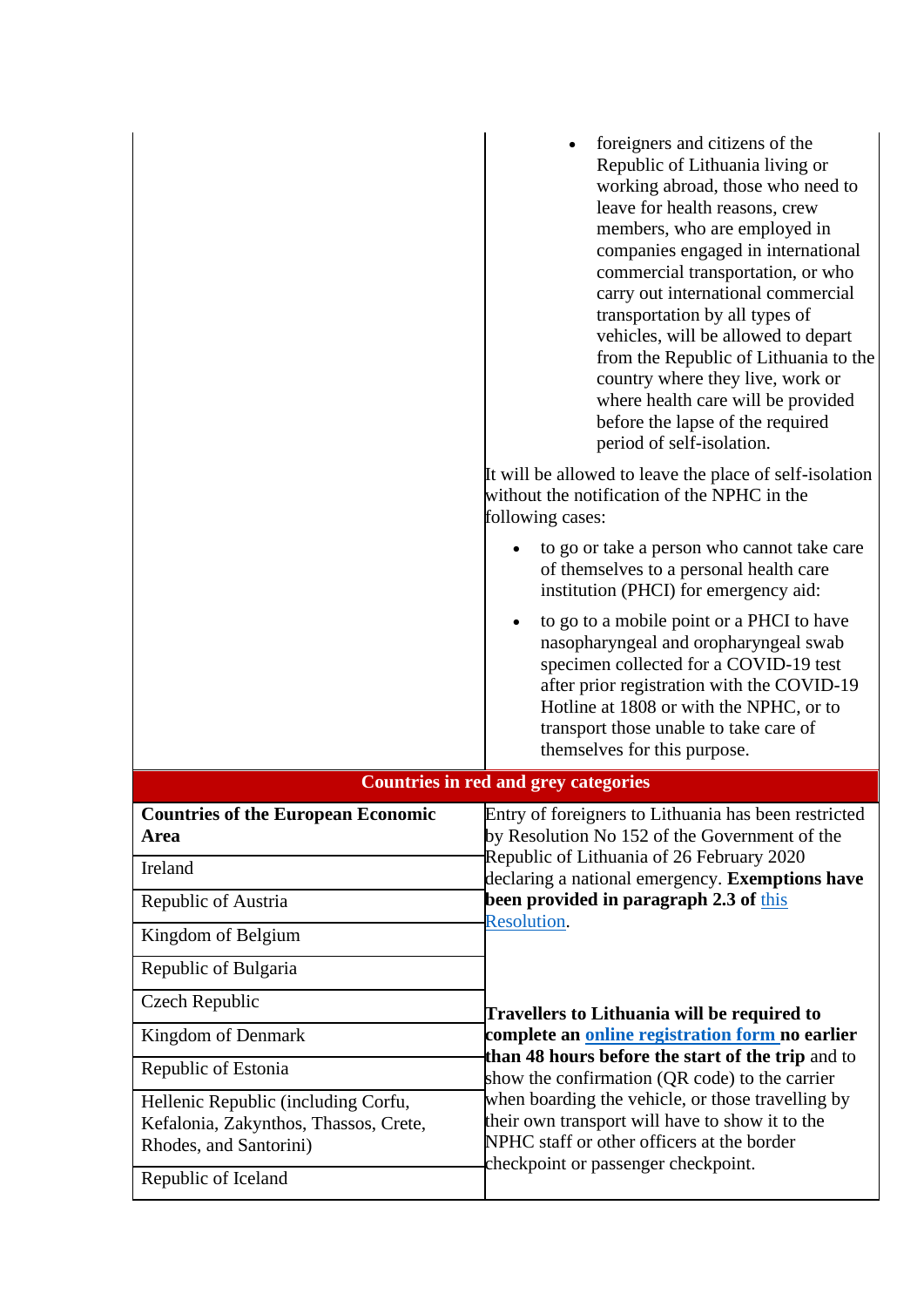|                                                                                                        | foreigners and citizens of the<br>Republic of Lithuania living or<br>working abroad, those who need to<br>leave for health reasons, crew<br>members, who are employed in<br>companies engaged in international<br>commercial transportation, or who<br>carry out international commercial<br>transportation by all types of<br>vehicles, will be allowed to depart<br>from the Republic of Lithuania to the<br>country where they live, work or<br>where health care will be provided<br>before the lapse of the required<br>period of self-isolation.<br>It will be allowed to leave the place of self-isolation<br>without the notification of the NPHC in the<br>following cases: |
|--------------------------------------------------------------------------------------------------------|--------------------------------------------------------------------------------------------------------------------------------------------------------------------------------------------------------------------------------------------------------------------------------------------------------------------------------------------------------------------------------------------------------------------------------------------------------------------------------------------------------------------------------------------------------------------------------------------------------------------------------------------------------------------------------------|
|                                                                                                        | to go or take a person who cannot take care<br>of themselves to a personal health care<br>institution (PHCI) for emergency aid:                                                                                                                                                                                                                                                                                                                                                                                                                                                                                                                                                      |
|                                                                                                        | to go to a mobile point or a PHCI to have<br>$\bullet$<br>nasopharyngeal and oropharyngeal swab<br>specimen collected for a COVID-19 test<br>after prior registration with the COVID-19<br>Hotline at 1808 or with the NPHC, or to<br>transport those unable to take care of<br>themselves for this purpose.                                                                                                                                                                                                                                                                                                                                                                         |
|                                                                                                        | <b>Countries in red and grey categories</b>                                                                                                                                                                                                                                                                                                                                                                                                                                                                                                                                                                                                                                          |
| <b>Countries of the European Economic</b><br><b>Area</b><br>Ireland                                    | Entry of foreigners to Lithuania has been restricted<br>by Resolution No 152 of the Government of the<br>Republic of Lithuania of 26 February 2020<br>declaring a national emergency. Exemptions have                                                                                                                                                                                                                                                                                                                                                                                                                                                                                |
| Republic of Austria                                                                                    | been provided in paragraph 2.3 of this                                                                                                                                                                                                                                                                                                                                                                                                                                                                                                                                                                                                                                               |
| Kingdom of Belgium                                                                                     | <b>Resolution.</b>                                                                                                                                                                                                                                                                                                                                                                                                                                                                                                                                                                                                                                                                   |
| Republic of Bulgaria                                                                                   |                                                                                                                                                                                                                                                                                                                                                                                                                                                                                                                                                                                                                                                                                      |
| Czech Republic                                                                                         | Travellers to Lithuania will be required to                                                                                                                                                                                                                                                                                                                                                                                                                                                                                                                                                                                                                                          |
| Kingdom of Denmark                                                                                     | complete an online registration form no earlier                                                                                                                                                                                                                                                                                                                                                                                                                                                                                                                                                                                                                                      |
| Republic of Estonia                                                                                    | than 48 hours before the start of the trip and to<br>show the confirmation (QR code) to the carrier                                                                                                                                                                                                                                                                                                                                                                                                                                                                                                                                                                                  |
| Hellenic Republic (including Corfu,<br>Kefalonia, Zakynthos, Thassos, Crete,<br>Rhodes, and Santorini) | when boarding the vehicle, or those travelling by<br>their own transport will have to show it to the<br>NPHC staff or other officers at the border<br>checkpoint or passenger checkpoint.                                                                                                                                                                                                                                                                                                                                                                                                                                                                                            |
| Republic of Iceland                                                                                    |                                                                                                                                                                                                                                                                                                                                                                                                                                                                                                                                                                                                                                                                                      |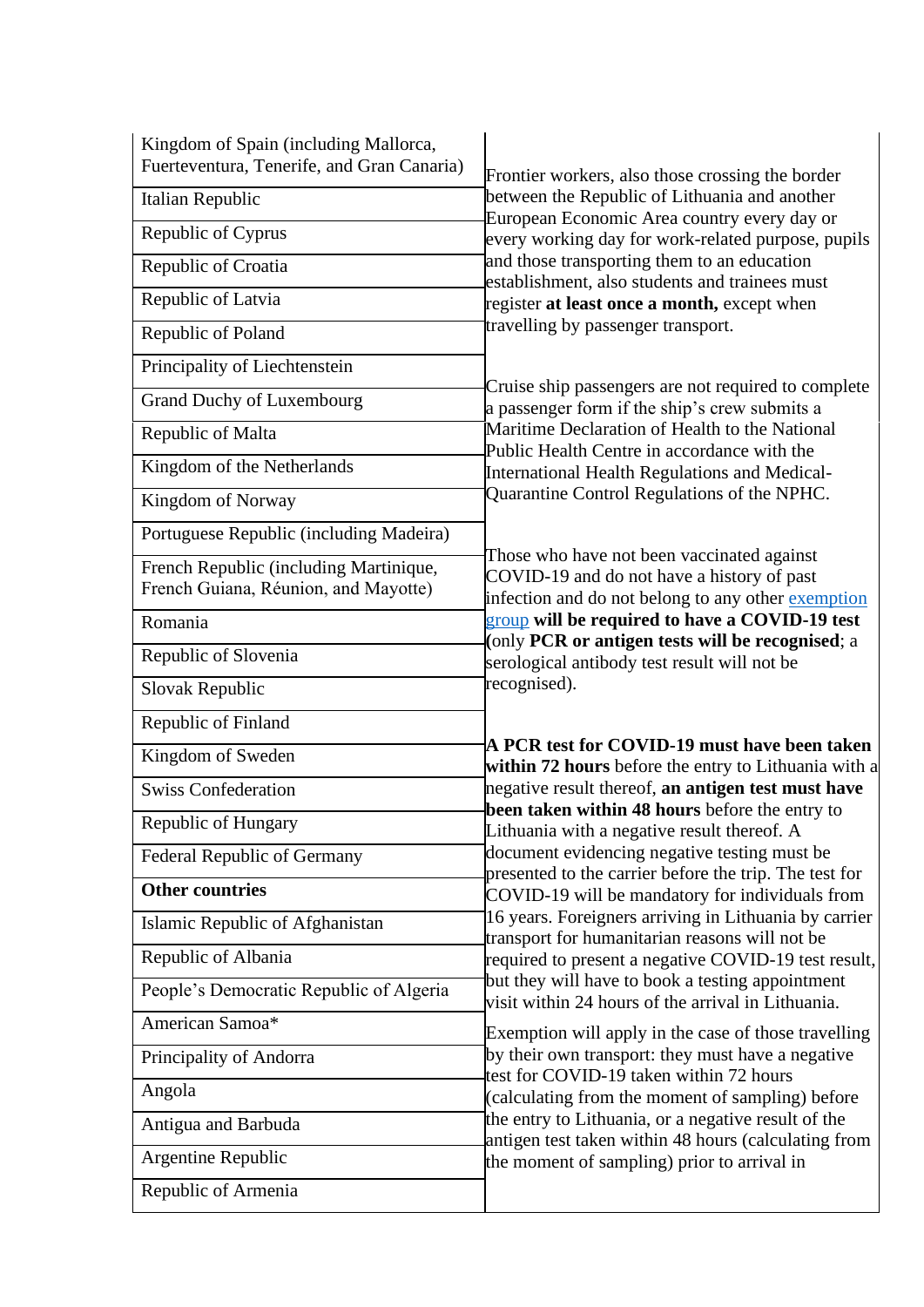| Kingdom of Spain (including Mallorca,<br>Fuerteventura, Tenerife, and Gran Canaria) | Frontier workers, also those crossing the border                                                                                                                                                  |
|-------------------------------------------------------------------------------------|---------------------------------------------------------------------------------------------------------------------------------------------------------------------------------------------------|
| Italian Republic                                                                    | between the Republic of Lithuania and another<br>European Economic Area country every day or<br>every working day for work-related purpose, pupils<br>and those transporting them to an education |
| Republic of Cyprus                                                                  |                                                                                                                                                                                                   |
| Republic of Croatia                                                                 |                                                                                                                                                                                                   |
| Republic of Latvia                                                                  | establishment, also students and trainees must<br>register at least once a month, except when                                                                                                     |
| Republic of Poland                                                                  | travelling by passenger transport.                                                                                                                                                                |
| Principality of Liechtenstein                                                       |                                                                                                                                                                                                   |
| <b>Grand Duchy of Luxembourg</b>                                                    | Cruise ship passengers are not required to complete<br>a passenger form if the ship's crew submits a                                                                                              |
| Republic of Malta                                                                   | Maritime Declaration of Health to the National<br>Public Health Centre in accordance with the                                                                                                     |
| Kingdom of the Netherlands                                                          | International Health Regulations and Medical-                                                                                                                                                     |
| Kingdom of Norway                                                                   | Quarantine Control Regulations of the NPHC.                                                                                                                                                       |
| Portuguese Republic (including Madeira)                                             |                                                                                                                                                                                                   |
| French Republic (including Martinique,<br>French Guiana, Réunion, and Mayotte)      | Those who have not been vaccinated against<br>COVID-19 and do not have a history of past<br>infection and do not belong to any other exemption                                                    |
| Romania                                                                             | group will be required to have a COVID-19 test<br>(only PCR or antigen tests will be recognised; a                                                                                                |
| Republic of Slovenia                                                                | serological antibody test result will not be                                                                                                                                                      |
| Slovak Republic                                                                     | recognised).                                                                                                                                                                                      |
| Republic of Finland                                                                 |                                                                                                                                                                                                   |
| Kingdom of Sweden                                                                   | A PCR test for COVID-19 must have been taken<br>within 72 hours before the entry to Lithuania with a                                                                                              |
| <b>Swiss Confederation</b>                                                          | negative result thereof, an antigen test must have                                                                                                                                                |
| Republic of Hungary                                                                 | been taken within 48 hours before the entry to<br>Lithuania with a negative result thereof. A                                                                                                     |
| <b>Federal Republic of Germany</b>                                                  | document evidencing negative testing must be<br>presented to the carrier before the trip. The test for                                                                                            |
| <b>Other countries</b>                                                              | COVID-19 will be mandatory for individuals from                                                                                                                                                   |
| Islamic Republic of Afghanistan                                                     | 16 years. Foreigners arriving in Lithuania by carrier<br>transport for humanitarian reasons will not be                                                                                           |
| Republic of Albania                                                                 | required to present a negative COVID-19 test result,                                                                                                                                              |
| People's Democratic Republic of Algeria                                             | but they will have to book a testing appointment<br>visit within 24 hours of the arrival in Lithuania.                                                                                            |
| American Samoa*                                                                     | Exemption will apply in the case of those travelling                                                                                                                                              |
| Principality of Andorra                                                             | by their own transport: they must have a negative<br>test for COVID-19 taken within 72 hours                                                                                                      |
| Angola                                                                              | (calculating from the moment of sampling) before                                                                                                                                                  |
| Antigua and Barbuda                                                                 | the entry to Lithuania, or a negative result of the<br>antigen test taken within 48 hours (calculating from                                                                                       |
| Argentine Republic                                                                  | the moment of sampling) prior to arrival in                                                                                                                                                       |
| Republic of Armenia                                                                 |                                                                                                                                                                                                   |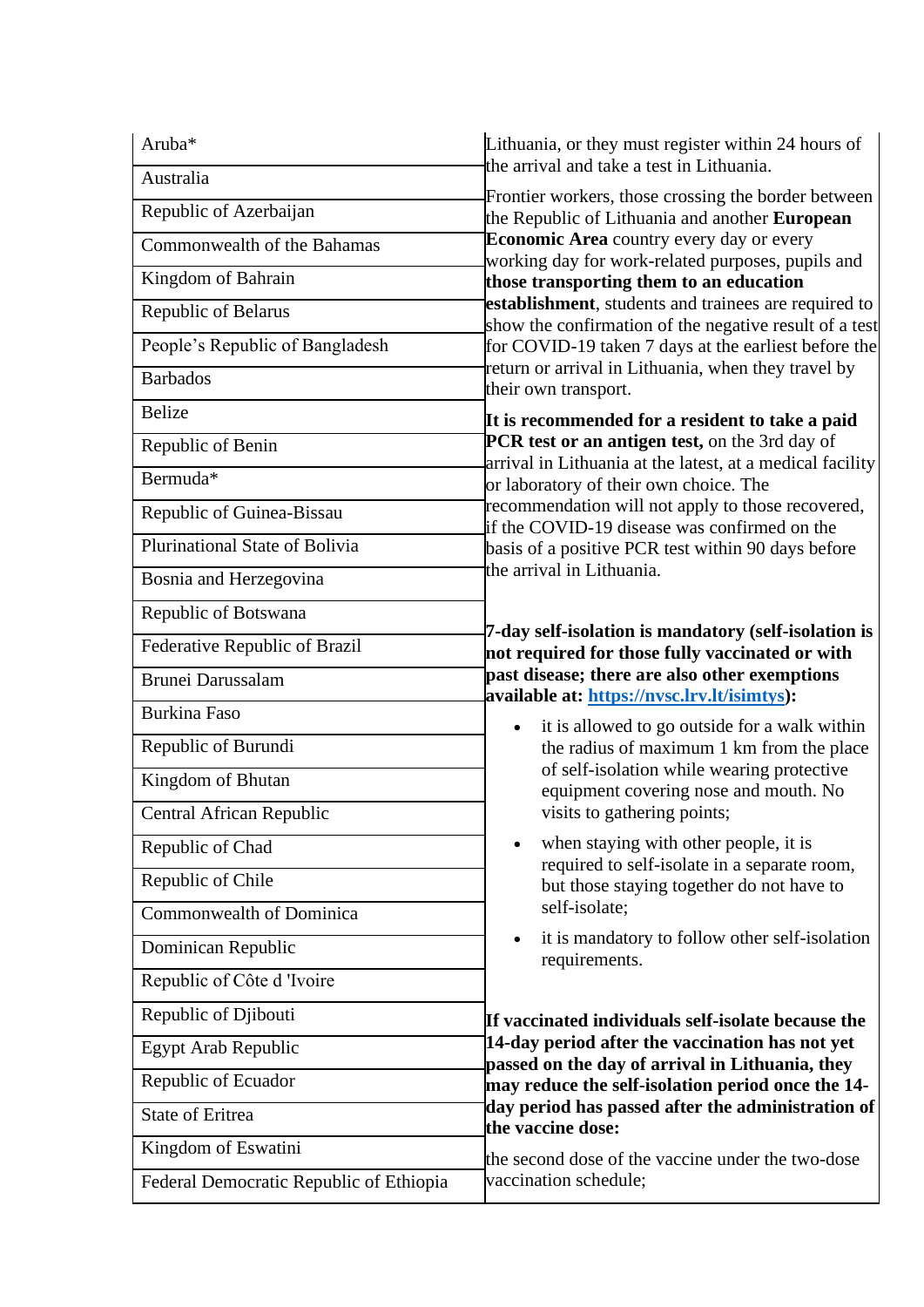| Aruba*                                  | Lithuania, or they must register within 24 hours of                                                                                                      |
|-----------------------------------------|----------------------------------------------------------------------------------------------------------------------------------------------------------|
| Australia                               | the arrival and take a test in Lithuania.                                                                                                                |
| Republic of Azerbaijan                  | Frontier workers, those crossing the border between<br>the Republic of Lithuania and another European<br><b>Economic Area</b> country every day or every |
| Commonwealth of the Bahamas             |                                                                                                                                                          |
| Kingdom of Bahrain                      | working day for work-related purposes, pupils and<br>those transporting them to an education                                                             |
| Republic of Belarus                     | establishment, students and trainees are required to<br>show the confirmation of the negative result of a test                                           |
| People's Republic of Bangladesh         | for COVID-19 taken 7 days at the earliest before the                                                                                                     |
| <b>Barbados</b>                         | return or arrival in Lithuania, when they travel by<br>their own transport.                                                                              |
| <b>Belize</b>                           | It is recommended for a resident to take a paid                                                                                                          |
| Republic of Benin                       | PCR test or an antigen test, on the 3rd day of                                                                                                           |
| Bermuda*                                | arrival in Lithuania at the latest, at a medical facility<br>or laboratory of their own choice. The                                                      |
| Republic of Guinea-Bissau               | recommendation will not apply to those recovered,<br>if the COVID-19 disease was confirmed on the                                                        |
| Plurinational State of Bolivia          | basis of a positive PCR test within 90 days before                                                                                                       |
| Bosnia and Herzegovina                  | the arrival in Lithuania.                                                                                                                                |
| Republic of Botswana                    |                                                                                                                                                          |
| Federative Republic of Brazil           | 7-day self-isolation is mandatory (self-isolation is<br>not required for those fully vaccinated or with                                                  |
| <b>Brunei Darussalam</b>                | past disease; there are also other exemptions<br>available at: https://nvsc.lrv.lt/isimtys):                                                             |
| <b>Burkina Faso</b>                     | it is allowed to go outside for a walk within                                                                                                            |
| Republic of Burundi                     | the radius of maximum 1 km from the place                                                                                                                |
| Kingdom of Bhutan                       | of self-isolation while wearing protective<br>equipment covering nose and mouth. No                                                                      |
| <b>Central African Republic</b>         | visits to gathering points;                                                                                                                              |
| Republic of Chad                        | when staying with other people, it is                                                                                                                    |
| Republic of Chile                       | required to self-isolate in a separate room,<br>but those staying together do not have to                                                                |
| <b>Commonwealth of Dominica</b>         | self-isolate;                                                                                                                                            |
| Dominican Republic                      | it is mandatory to follow other self-isolation<br>$\bullet$<br>requirements.                                                                             |
| Republic of Côte d 'Ivoire              |                                                                                                                                                          |
| Republic of Djibouti                    | If vaccinated individuals self-isolate because the                                                                                                       |
| Egypt Arab Republic                     | 14-day period after the vaccination has not yet<br>passed on the day of arrival in Lithuania, they                                                       |
| Republic of Ecuador                     | may reduce the self-isolation period once the 14-                                                                                                        |
| <b>State of Eritrea</b>                 | day period has passed after the administration of<br>the vaccine dose:                                                                                   |
| Kingdom of Eswatini                     | the second dose of the vaccine under the two-dose                                                                                                        |
| Federal Democratic Republic of Ethiopia | vaccination schedule;                                                                                                                                    |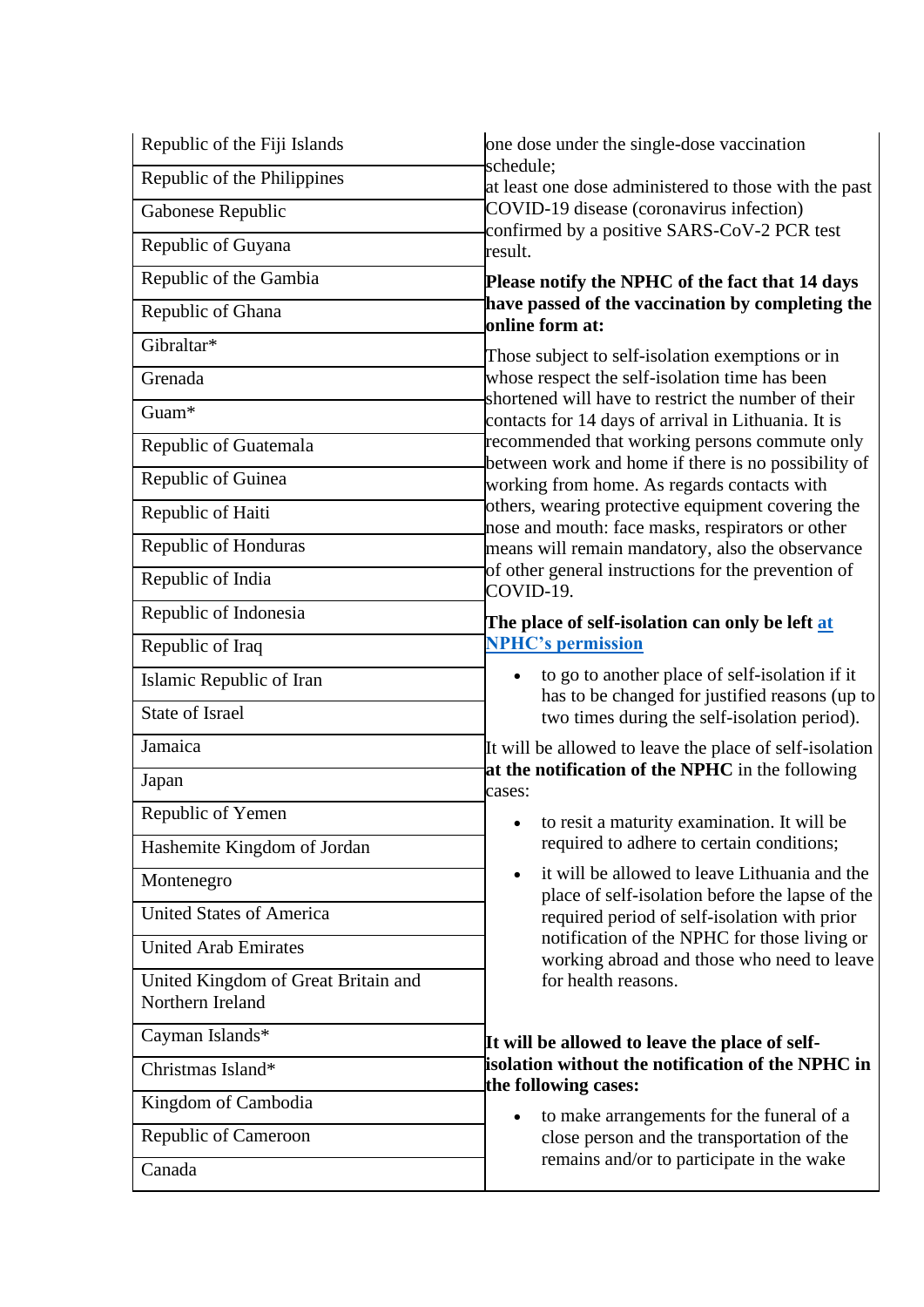| Republic of the Fiji Islands                            | one dose under the single-dose vaccination                                                                                                                               |
|---------------------------------------------------------|--------------------------------------------------------------------------------------------------------------------------------------------------------------------------|
| Republic of the Philippines                             | schedule;<br>at least one dose administered to those with the past<br>COVID-19 disease (coronavirus infection)<br>confirmed by a positive SARS-CoV-2 PCR test<br>result. |
| Gabonese Republic                                       |                                                                                                                                                                          |
| Republic of Guyana                                      |                                                                                                                                                                          |
| Republic of the Gambia                                  | Please notify the NPHC of the fact that 14 days                                                                                                                          |
| Republic of Ghana                                       | have passed of the vaccination by completing the<br>online form at:                                                                                                      |
| Gibraltar*                                              | Those subject to self-isolation exemptions or in                                                                                                                         |
| Grenada                                                 | whose respect the self-isolation time has been<br>shortened will have to restrict the number of their                                                                    |
| Guam*                                                   | contacts for 14 days of arrival in Lithuania. It is                                                                                                                      |
| Republic of Guatemala                                   | recommended that working persons commute only<br>between work and home if there is no possibility of                                                                     |
| Republic of Guinea                                      | working from home. As regards contacts with                                                                                                                              |
| Republic of Haiti                                       | others, wearing protective equipment covering the<br>nose and mouth: face masks, respirators or other                                                                    |
| Republic of Honduras                                    | means will remain mandatory, also the observance                                                                                                                         |
| Republic of India                                       | of other general instructions for the prevention of<br>COVID-19.                                                                                                         |
| Republic of Indonesia                                   | The place of self-isolation can only be left at                                                                                                                          |
| Republic of Iraq                                        | <b>NPHC's permission</b>                                                                                                                                                 |
| Islamic Republic of Iran                                | to go to another place of self-isolation if it<br>has to be changed for justified reasons (up to                                                                         |
| <b>State of Israel</b>                                  | two times during the self-isolation period).                                                                                                                             |
| Jamaica                                                 | It will be allowed to leave the place of self-isolation<br>at the notification of the NPHC in the following                                                              |
| Japan                                                   | cases:                                                                                                                                                                   |
| Republic of Yemen                                       | • to resit a maturity examination. It will be                                                                                                                            |
| Hashemite Kingdom of Jordan                             | required to adhere to certain conditions;                                                                                                                                |
| Montenegro                                              | it will be allowed to leave Lithuania and the<br>$\bullet$<br>place of self-isolation before the lapse of the                                                            |
| <b>United States of America</b>                         | required period of self-isolation with prior                                                                                                                             |
| <b>United Arab Emirates</b>                             | notification of the NPHC for those living or<br>working abroad and those who need to leave                                                                               |
| United Kingdom of Great Britain and<br>Northern Ireland | for health reasons.                                                                                                                                                      |
| Cayman Islands*                                         | It will be allowed to leave the place of self-                                                                                                                           |
| Christmas Island*                                       | isolation without the notification of the NPHC in<br>the following cases:                                                                                                |
| Kingdom of Cambodia                                     | to make arrangements for the funeral of a<br>$\bullet$                                                                                                                   |
| Republic of Cameroon                                    | close person and the transportation of the                                                                                                                               |
| Canada                                                  | remains and/or to participate in the wake                                                                                                                                |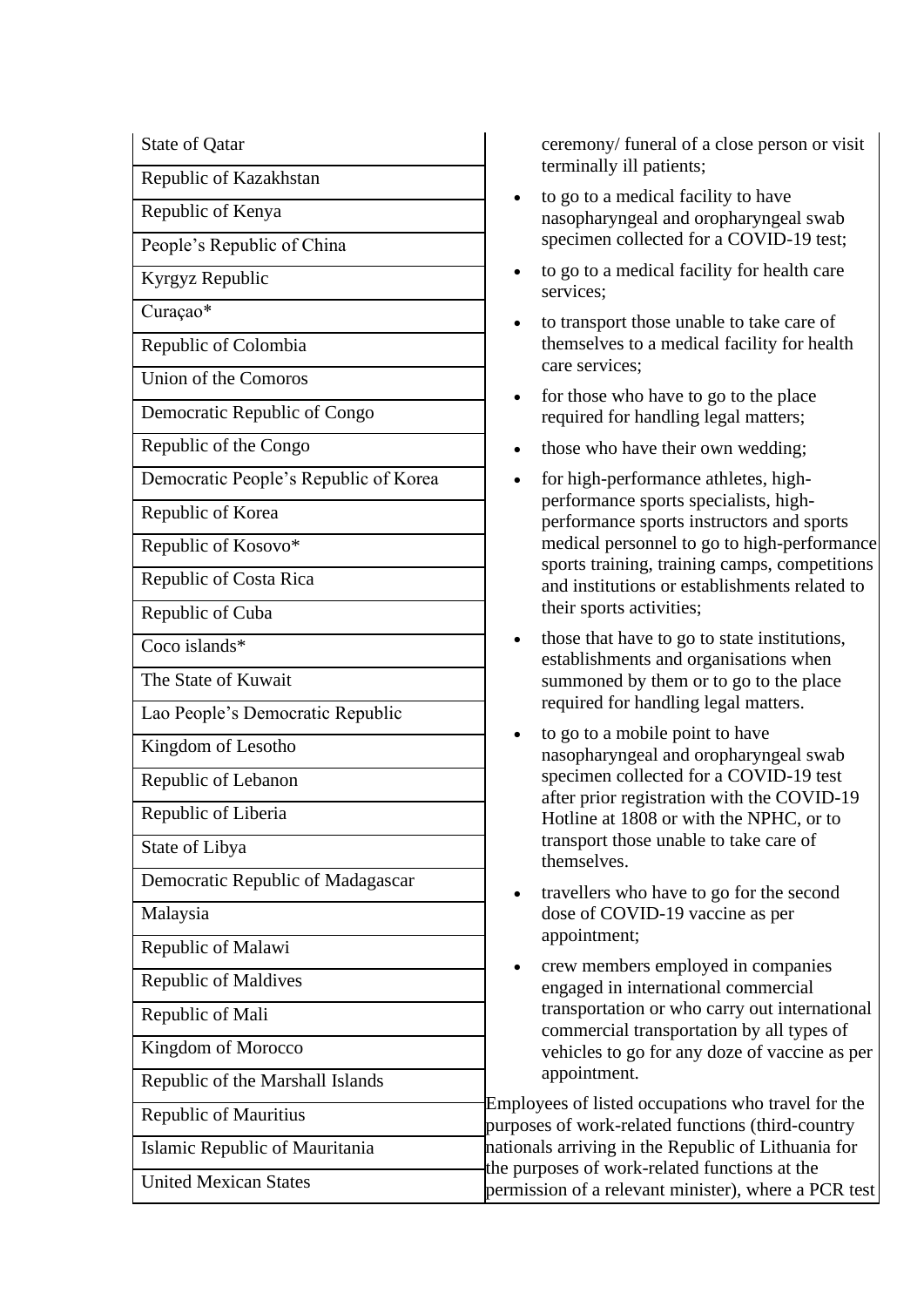Republic of Kazakhstan

Republic of Kenya

People's Republic of China

Kyrgyz Republic

Curaçao\*

Republic of Colombia

Union of the Comoros

Democratic Republic of Congo

Republic of the Congo

Democratic People's Republic of Korea

Republic of Korea

Republic of Kosovo\*

Republic of Costa Rica

Republic of Cuba

Coco islands\*

The State of Kuwait

Lao People's Democratic Republic

Kingdom of Lesotho

Republic of Lebanon

Republic of Liberia

State of Libya

Democratic Republic of Madagascar

Malaysia

Republic of Malawi

Republic of Maldives

Republic of Mali

Kingdom of Morocco

Republic of the Marshall Islands

Republic of Mauritius

Islamic Republic of Mauritania

United Mexican States

State of Qatar ceremony/ funeral of a close person or visit terminally ill patients;

- to go to a medical facility to have nasopharyngeal and oropharyngeal swab specimen collected for a COVID-19 test;
- to go to a medical facility for health care services;
- to transport those unable to take care of themselves to a medical facility for health care services;
- for those who have to go to the place required for handling legal matters;
- those who have their own wedding:
- for high-performance athletes, highperformance sports specialists, highperformance sports instructors and sports medical personnel to go to high-performance sports training, training camps, competitions and institutions or establishments related to their sports activities;
- those that have to go to state institutions, establishments and organisations when summoned by them or to go to the place required for handling legal matters.
- to go to a mobile point to have nasopharyngeal and oropharyngeal swab specimen collected for a COVID-19 test after prior registration with the COVID-19 Hotline at 1808 or with the NPHC, or to transport those unable to take care of themselves.
- travellers who have to go for the second dose of COVID-19 vaccine as per appointment;
- crew members employed in companies engaged in international commercial transportation or who carry out international commercial transportation by all types of vehicles to go for any doze of vaccine as per appointment.

Employees of listed occupations who travel for the purposes of work-related functions (third-country nationals arriving in the Republic of Lithuania for the purposes of work-related functions at the permission of a relevant minister), where a PCR test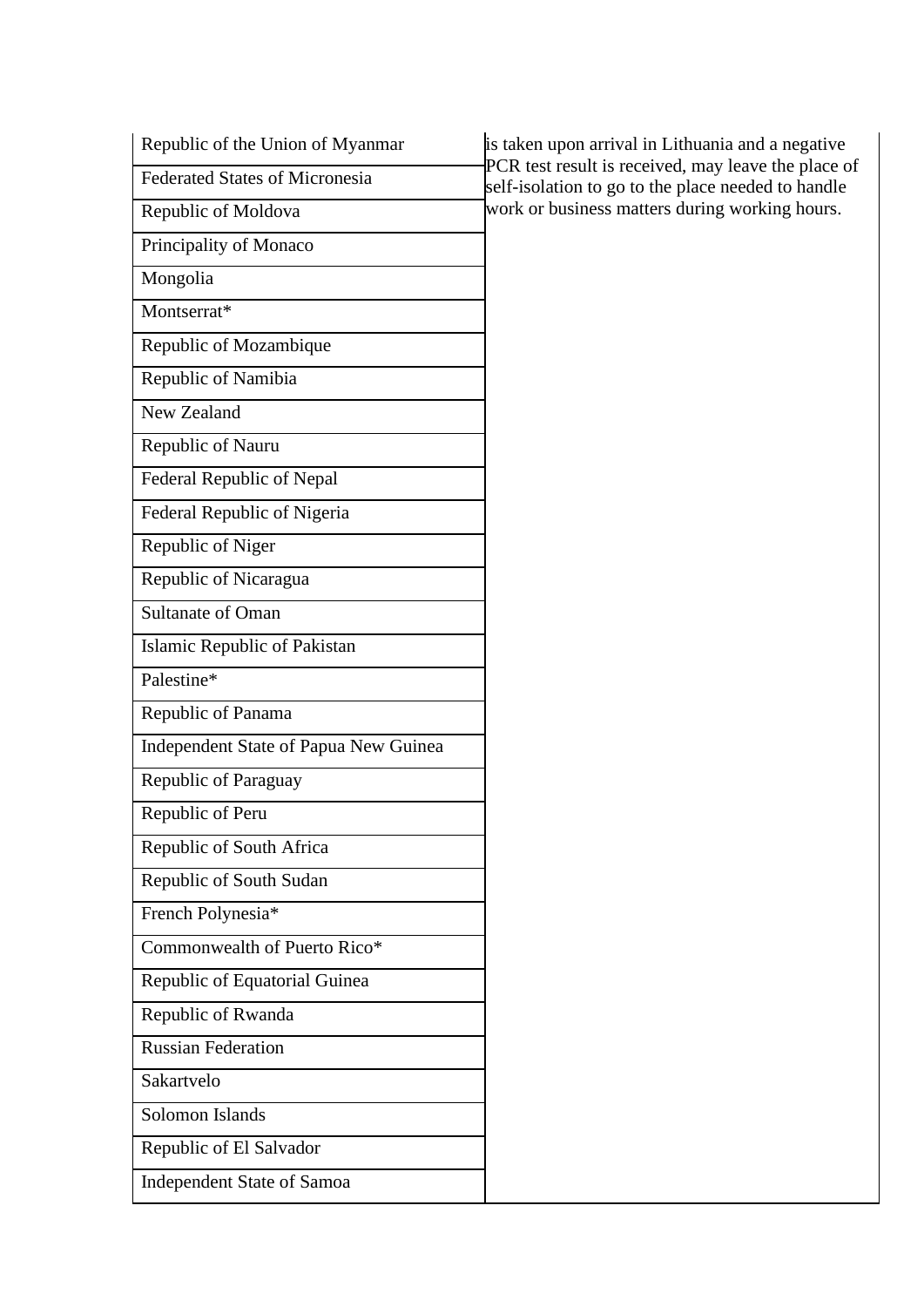| Republic of the Union of Myanmar      | is taken upon arrival in Lithuania and a negative                                                         |
|---------------------------------------|-----------------------------------------------------------------------------------------------------------|
| <b>Federated States of Micronesia</b> | PCR test result is received, may leave the place of<br>self-isolation to go to the place needed to handle |
| Republic of Moldova                   | work or business matters during working hours.                                                            |
| Principality of Monaco                |                                                                                                           |
| Mongolia                              |                                                                                                           |
| Montserrat*                           |                                                                                                           |
| Republic of Mozambique                |                                                                                                           |
| Republic of Namibia                   |                                                                                                           |
| New Zealand                           |                                                                                                           |
| Republic of Nauru                     |                                                                                                           |
| Federal Republic of Nepal             |                                                                                                           |
| Federal Republic of Nigeria           |                                                                                                           |
| Republic of Niger                     |                                                                                                           |
| Republic of Nicaragua                 |                                                                                                           |
| Sultanate of Oman                     |                                                                                                           |
| Islamic Republic of Pakistan          |                                                                                                           |
| Palestine*                            |                                                                                                           |
| Republic of Panama                    |                                                                                                           |
| Independent State of Papua New Guinea |                                                                                                           |
| Republic of Paraguay                  |                                                                                                           |
| Republic of Peru                      |                                                                                                           |
| Republic of South Africa              |                                                                                                           |
| Republic of South Sudan               |                                                                                                           |
| French Polynesia*                     |                                                                                                           |
| Commonwealth of Puerto Rico*          |                                                                                                           |
| Republic of Equatorial Guinea         |                                                                                                           |
| Republic of Rwanda                    |                                                                                                           |
| <b>Russian Federation</b>             |                                                                                                           |
| Sakartvelo                            |                                                                                                           |
| Solomon Islands                       |                                                                                                           |
| Republic of El Salvador               |                                                                                                           |
| <b>Independent State of Samoa</b>     |                                                                                                           |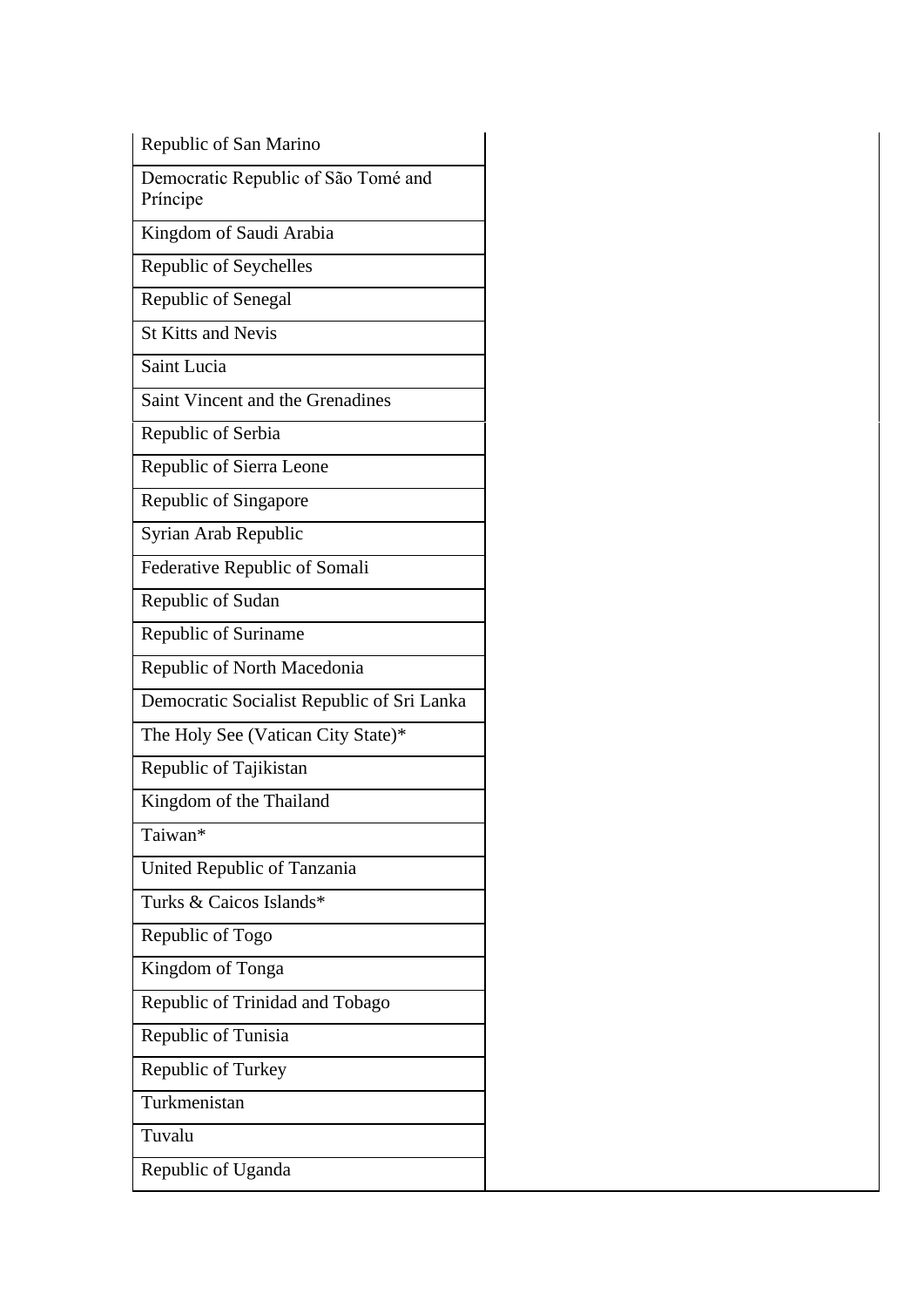Republic of San Marino

Democratic Republic of São Tomé and Príncipe

Kingdom of Saudi Arabia

Republic of Seychelles

Republic of Senegal

St Kitts and Nevis

Saint Lucia

Saint Vincent and the Grenadines

Republic of Serbia

Republic of Sierra Leone

Republic of Singapore

Syrian Arab Republic

Federative Republic of Somali

Republic of Sudan

Republic of Suriname

Republic of North Macedonia

Democratic Socialist Republic of Sri Lanka

The Holy See (Vatican City State)\*

Republic of Tajikistan

Kingdom of the Thailand

Taiwan\*

United Republic of Tanzania

Turks & Caicos Islands\*

Republic of Togo

Kingdom of Tonga

Republic of Trinidad and Tobago

Republic of Tunisia

Republic of Turkey

Turkmenistan

Tuvalu

Republic of Uganda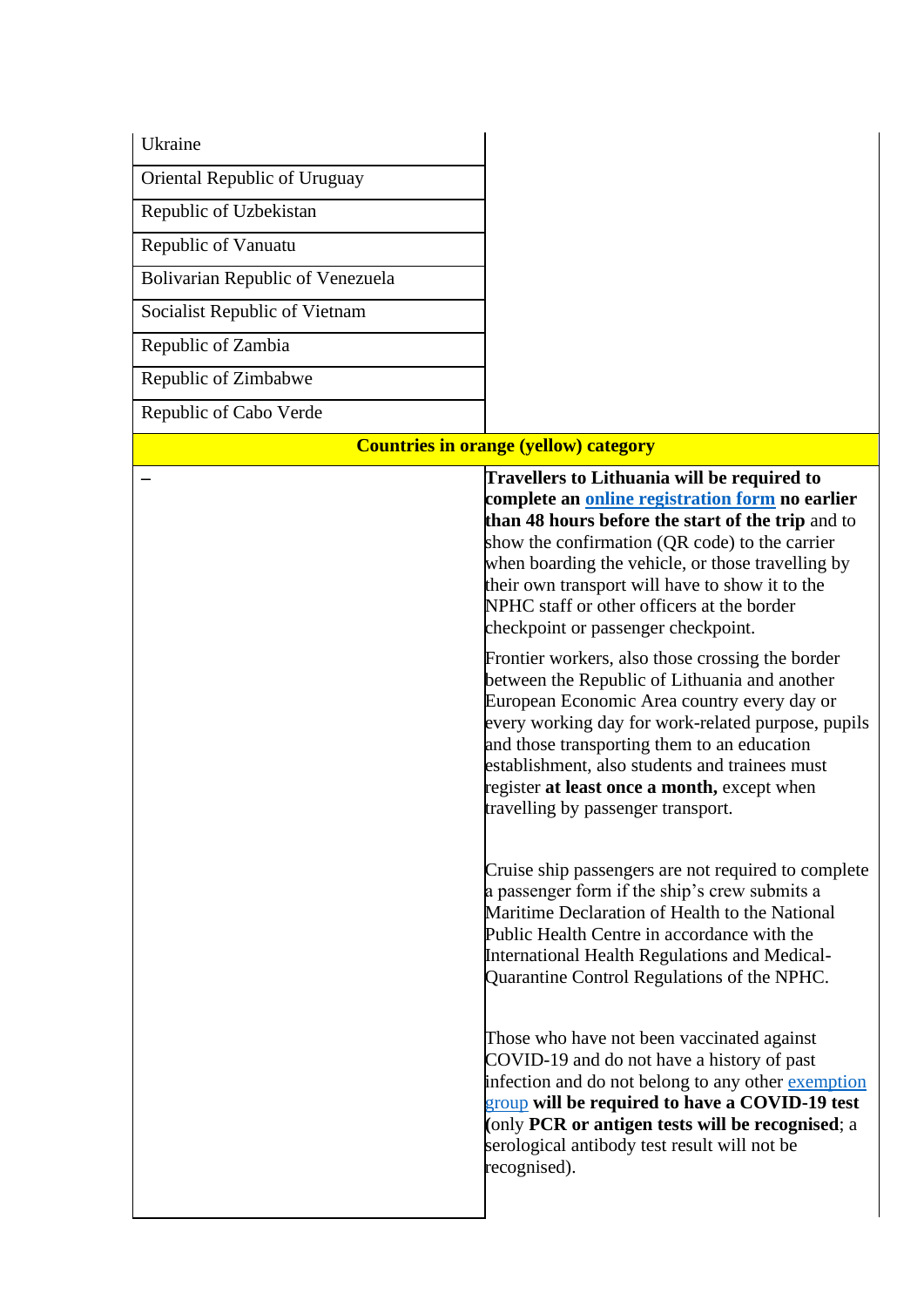| Ukraine                          |                                                                                                                                                                                                                                                                                                                                                                                                    |
|----------------------------------|----------------------------------------------------------------------------------------------------------------------------------------------------------------------------------------------------------------------------------------------------------------------------------------------------------------------------------------------------------------------------------------------------|
| Oriental Republic of Uruguay     |                                                                                                                                                                                                                                                                                                                                                                                                    |
| Republic of Uzbekistan           |                                                                                                                                                                                                                                                                                                                                                                                                    |
| Republic of Vanuatu              |                                                                                                                                                                                                                                                                                                                                                                                                    |
| Bolivarian Republic of Venezuela |                                                                                                                                                                                                                                                                                                                                                                                                    |
| Socialist Republic of Vietnam    |                                                                                                                                                                                                                                                                                                                                                                                                    |
| Republic of Zambia               |                                                                                                                                                                                                                                                                                                                                                                                                    |
| Republic of Zimbabwe             |                                                                                                                                                                                                                                                                                                                                                                                                    |
| Republic of Cabo Verde           |                                                                                                                                                                                                                                                                                                                                                                                                    |
|                                  | <b>Countries in orange (yellow) category</b>                                                                                                                                                                                                                                                                                                                                                       |
|                                  | Travellers to Lithuania will be required to<br>complete an online registration form no earlier<br>than 48 hours before the start of the trip and to<br>show the confirmation (QR code) to the carrier<br>when boarding the vehicle, or those travelling by<br>their own transport will have to show it to the<br>NPHC staff or other officers at the border<br>checkpoint or passenger checkpoint. |
|                                  | Frontier workers, also those crossing the border<br>between the Republic of Lithuania and another<br>European Economic Area country every day or<br>every working day for work-related purpose, pupils<br>and those transporting them to an education<br>establishment, also students and trainees must<br>register at least once a month, except when<br>travelling by passenger transport.       |
|                                  | Cruise ship passengers are not required to complete<br>a passenger form if the ship's crew submits a<br>Maritime Declaration of Health to the National<br>Public Health Centre in accordance with the<br>International Health Regulations and Medical-<br>Quarantine Control Regulations of the NPHC.                                                                                              |
|                                  | Those who have not been vaccinated against<br>COVID-19 and do not have a history of past<br>infection and do not belong to any other exemption<br>group will be required to have a COVID-19 test<br>(only PCR or antigen tests will be recognised; a<br>serological antibody test result will not be<br>recognised).                                                                               |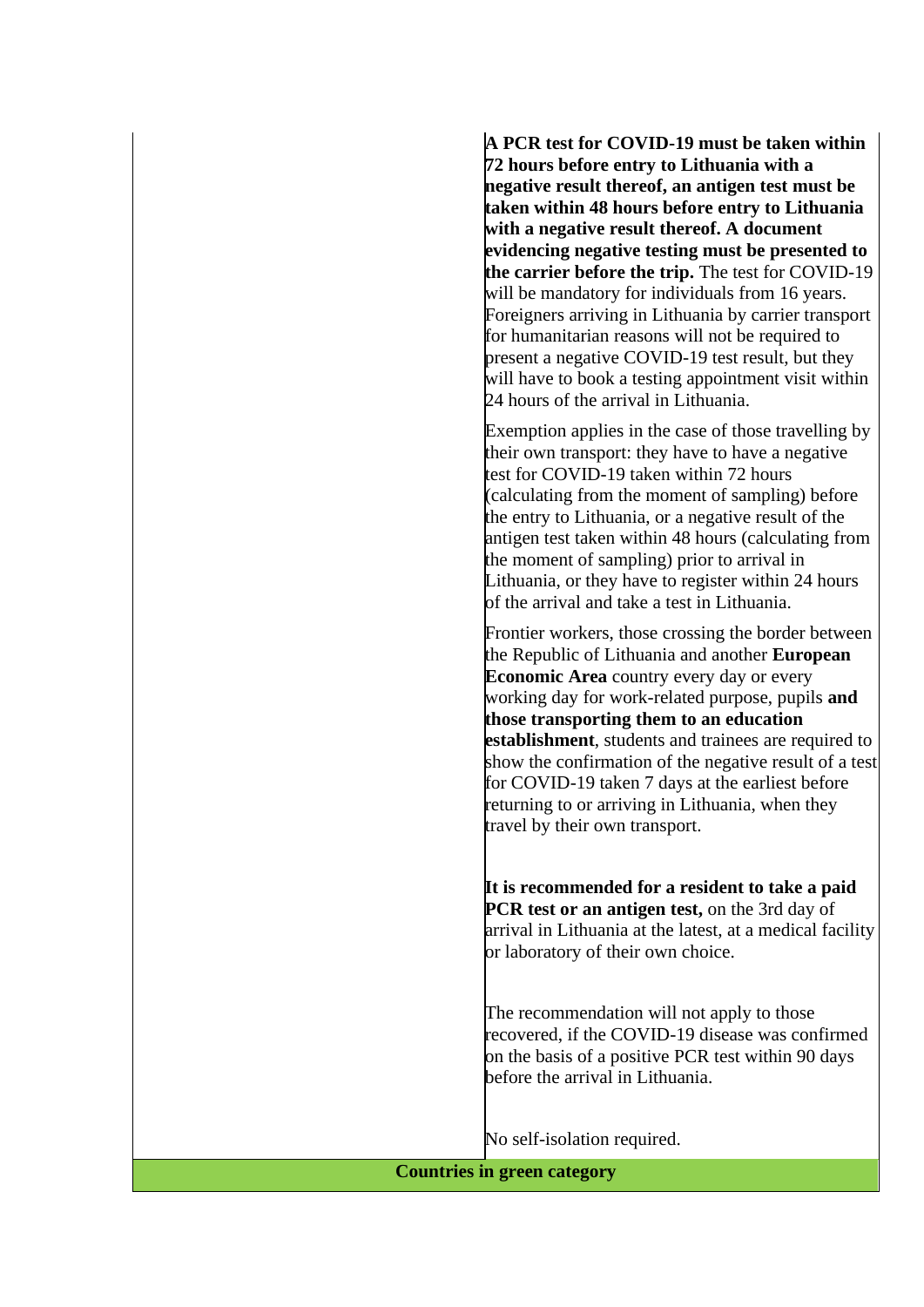**A PCR test for COVID-19 must be taken within 72 hours before entry to Lithuania with a negative result thereof, an antigen test must be taken within 48 hours before entry to Lithuania with a negative result thereof. A document evidencing negative testing must be presented to the carrier before the trip.** The test for COVID-19 will be mandatory for individuals from 16 years. Foreigners arriving in Lithuania by carrier transport for humanitarian reasons will not be required to present a negative COVID-19 test result, but they will have to book a testing appointment visit within 24 hours of the arrival in Lithuania.

Exemption applies in the case of those travelling by their own transport: they have to have a negative test for COVID-19 taken within 72 hours (calculating from the moment of sampling) before the entry to Lithuania, or a negative result of the antigen test taken within 48 hours (calculating from the moment of sampling) prior to arrival in Lithuania, or they have to register within 24 hours of the arrival and take a test in Lithuania.

Frontier workers, those crossing the border between the Republic of Lithuania and another **European Economic Area** country every day or every working day for work-related purpose, pupils **and those transporting them to an education establishment**, students and trainees are required to show the confirmation of the negative result of a test for COVID-19 taken 7 days at the earliest before returning to or arriving in Lithuania, when they travel by their own transport.

**It is recommended for a resident to take a paid PCR** test or an antigen test, on the 3rd day of arrival in Lithuania at the latest, at a medical facility or laboratory of their own choice.

The recommendation will not apply to those recovered, if the COVID-19 disease was confirmed on the basis of a positive PCR test within 90 days before the arrival in Lithuania.

No self-isolation required.

**Countries in green category**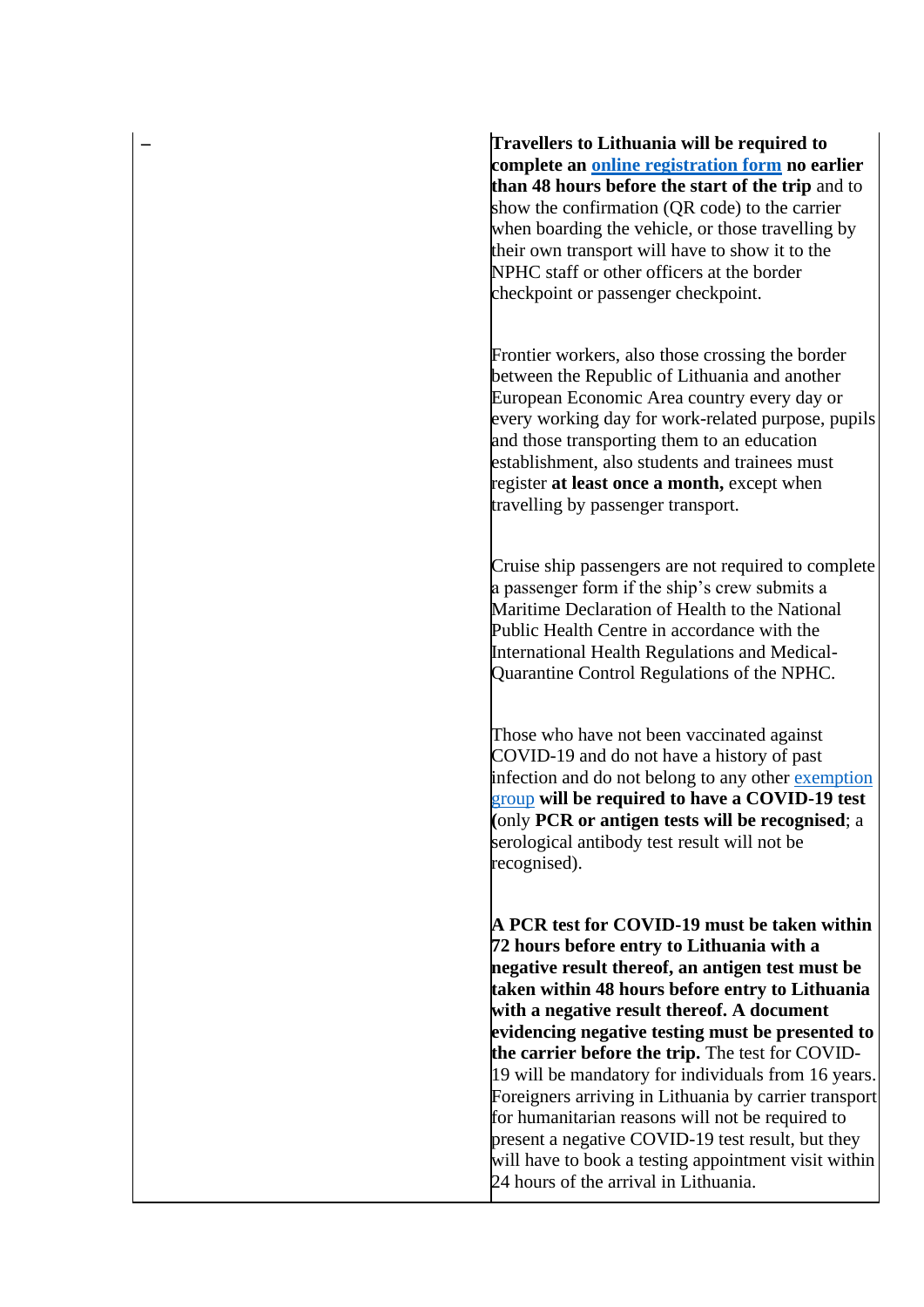**– Travellers to Lithuania will be required to complete an [online registration form](https://keleiviams.nvsc.lt/lt/form) no earlier than 48 hours before the start of the trip** and to show the confirmation (QR code) to the carrier when boarding the vehicle, or those travelling by their own transport will have to show it to the NPHC staff or other officers at the border checkpoint or passenger checkpoint.

Frontier workers, also those crossing the border between the Republic of Lithuania and another European Economic Area country every day or every working day for work-related purpose, pupils and those transporting them to an education establishment, also students and trainees must register **at least once a month,** except when travelling by passenger transport.

Cruise ship passengers are not required to complete a passenger form if the ship's crew submits a Maritime Declaration of Health to the National Public Health Centre in accordance with the International Health Regulations and Medical-Quarantine Control Regulations of the NPHC.

Those who have not been vaccinated against COVID-19 and do not have a history of past infection and do not belong to any other exemption [group](https://nvsc.lrv.lt/isimtys) **will be required to have a COVID-19 test (**only **PCR or antigen tests will be recognised**; a serological antibody test result will not be recognised).

**A PCR test for COVID-19 must be taken within 72 hours before entry to Lithuania with a negative result thereof, an antigen test must be taken within 48 hours before entry to Lithuania with a negative result thereof. A document evidencing negative testing must be presented to the carrier before the trip.** The test for COVID-19 will be mandatory for individuals from 16 years. Foreigners arriving in Lithuania by carrier transport for humanitarian reasons will not be required to present a negative COVID-19 test result, but they will have to book a testing appointment visit within 24 hours of the arrival in Lithuania.